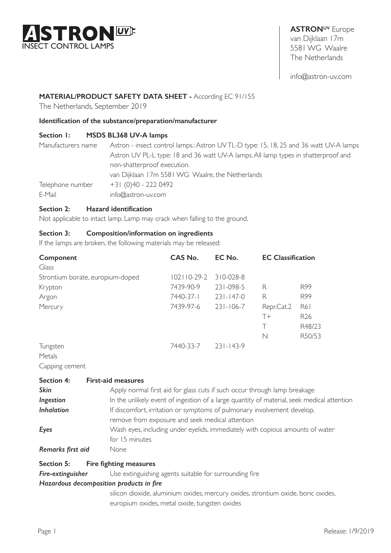

**ASTRONUV** Europe van Dijklaan 17m 5581 WG Waalre The Netherlands

info@astron-uv.com

# **MATERIAL/PRODUCT SAFETY DATA SHEET -** According EC 91/155

The Netherlands, September 2019

#### **Identification of the substance/preparation/manufacturer**

### **Section 1: MSDS BL368 UV-A lamps**

| Manufacturers name | Astron - insect control lamps.: Astron UVTL-D type: 15, 18, 25 and 36 watt UV-A lamps |
|--------------------|---------------------------------------------------------------------------------------|
|                    | Astron UV PL-L type: 18 and 36 watt UV-A lamps. All lamp types in shatterproof and    |
|                    | non-shatterproof execution.                                                           |
|                    | van Dijklaan 17m 5581 WG Waalre, the Netherlands                                      |
| Telephone number   | +31 (0)40 - 222 0492                                                                  |
| E-Mail             | $info@astron-uv.com$                                                                  |

#### **Section 2: Hazard identification**

Not applicable to intact lamp. Lamp may crack when falling to the ground.

# **Section 3: Composition/information on ingredients**

If the lamps are broken, the following materials may be released:

| Component                        | <b>CAS No.</b>    | EC No.          | <b>EC Classification</b> |                 |
|----------------------------------|-------------------|-----------------|--------------------------|-----------------|
| Glass                            |                   |                 |                          |                 |
| Strontium borate, europium-doped | $102110 - 29 - 2$ | $310 - 028 - 8$ |                          |                 |
| Krypton                          | 7439-90-9         | 231-098-5       | R                        | R <sub>99</sub> |
| Argon                            | 7440-37-1         | $231 - 147 - 0$ | R                        | R99             |
| Mercury                          | 7439-97-6         | $231 - 106 - 7$ | Repr.Cat.2               | R61             |
|                                  |                   |                 | $T+$                     | R <sub>26</sub> |
|                                  |                   |                 | Τ                        | R48/23          |
|                                  |                   |                 | N                        | R50/53          |
| Tungsten                         | 7440-33-7         | $231 - 143 - 9$ |                          |                 |
| $M_{\alpha+1}$                   |                   |                 |                          |                 |

Metals Capping cement

| <b>Section 4:</b> | <b>First-aid measures</b>                                                                  |
|-------------------|--------------------------------------------------------------------------------------------|
| <b>Skin</b>       | Apply normal first aid for glass cuts if such occur through lamp breakage                  |
| Ingestion         | In the unlikely event of ingestion of a large quantity of material, seek medical attention |
| <b>Inhalation</b> | If discomfort, irritation or symptoms of pulmonary involvement develop,                    |
|                   | remove from exposure and seek medical attention                                            |
| Eyes              | Wash eyes, including under eyelids, immediately with copious amounts of water              |
|                   | for 15 minutes                                                                             |
| Remarks first aid | None                                                                                       |

## **Section 5: Fire fighting measures**

**Fire-extinguisher** Use extinguishing agents suitable for surrounding fire

#### *Hazardous decomposition products in fire*

 silicon dioxide, aluminium oxides, mercury oxides, strontium oxide, boric oxides, europium oxides, metal oxide, tungsten oxides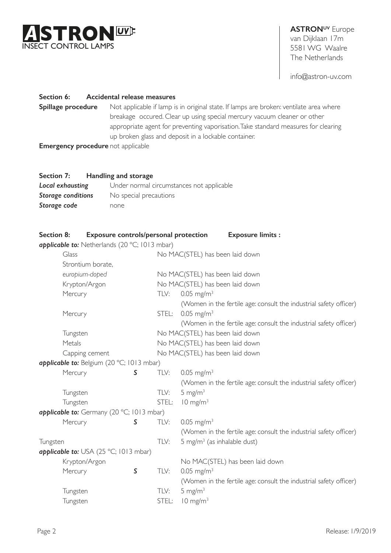

# **ASTRONUV** Europe van Dijklaan 17m 5581 WG Waalre The Netherlands

info@astron-uv.com

### **Section 6: Accidental release measures**

**Spillage procedure** Not applicable if lamp is in original state. If lamps are broken: ventilate area where breakage occured. Clear up using special mercury vacuum cleaner or other appropriate agent for preventing vaporisation. Take standard measures for clearing up broken glass and deposit in a lockable container.

**Emergency procedure** not applicable

#### **Section 7: Handling and storage**

| Local exhausting   | Under normal circumstances not applicable |
|--------------------|-------------------------------------------|
| Storage conditions | No special precautions                    |
| Storage code       | none                                      |

| Section 8: | Exposure controls/personal protection         |         |       | <b>Exposure limits:</b>                                           |
|------------|-----------------------------------------------|---------|-------|-------------------------------------------------------------------|
|            | applicable to: Netherlands (20 °C; 1013 mbar) |         |       |                                                                   |
|            | Glass                                         |         |       | No MAC(STEL) has been laid down                                   |
|            | Strontium borate,                             |         |       |                                                                   |
|            | europium-doped                                |         |       | No MAC(STEL) has been laid down                                   |
|            | Krypton/Argon                                 |         |       | No MAC(STEL) has been laid down                                   |
|            | Mercury                                       |         | TLV:  | $0.05$ mg/m <sup>3</sup>                                          |
|            |                                               |         |       | (Women in the fertile age: consult the industrial safety officer) |
|            | Mercury                                       |         | STEL: | $0.05$ mg/m <sup>3</sup>                                          |
|            |                                               |         |       | (Women in the fertile age: consult the industrial safety officer) |
|            | Tungsten                                      |         |       | No MAC(STEL) has been laid down                                   |
|            | Metals                                        |         |       | No MAC(STEL) has been laid down                                   |
|            | Capping cement                                |         |       | No MAC(STEL) has been laid down                                   |
|            | applicable to: Belgium (20 °C; 1013 mbar)     |         |       |                                                                   |
|            | Mercury                                       | S       | TLV:  | $0.05$ mg/m <sup>3</sup>                                          |
|            |                                               |         |       | (Women in the fertile age: consult the industrial safety officer) |
|            | Tungsten                                      |         | TLV:  | 5 mg/ $m3$                                                        |
|            | Tungsten                                      |         | STEL: | $10 \text{ mg/m}^3$                                               |
|            | applicable to: Germany (20 °C; 1013 mbar)     |         |       |                                                                   |
|            | Mercury                                       | S       | TLV:  | $0.05$ mg/m <sup>3</sup>                                          |
|            |                                               |         |       | (Women in the fertile age: consult the industrial safety officer) |
| Tungsten   |                                               |         | TLV:  | 5 mg/m <sup>3</sup> (as inhalable dust)                           |
|            | <b>applicable to:</b> USA (25 °C; 1013 mbar)  |         |       |                                                                   |
|            | Krypton/Argon                                 |         |       | No MAC(STEL) has been laid down                                   |
|            | Mercury                                       | $\sf S$ | TLV:  | $0.05$ mg/m <sup>3</sup>                                          |
|            |                                               |         |       | (Women in the fertile age: consult the industrial safety officer) |
|            | Tungsten                                      |         | TLV:  | 5 mg/ $m3$                                                        |
|            | Tungsten                                      |         | STEL: | $10 \text{ mg/m}^3$                                               |
|            |                                               |         |       |                                                                   |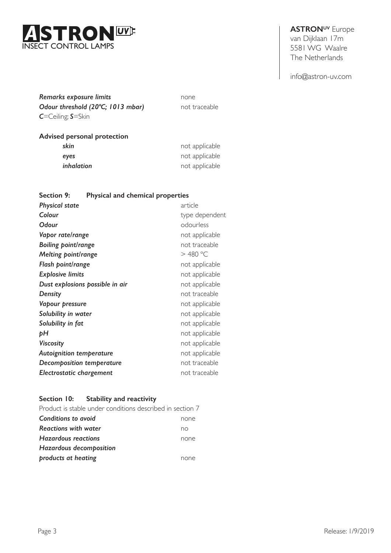

# **ASTRONUV** Europe

van Dijklaan 17m 5581 WG Waalre The Netherlands

info@astron-uv.com

*Remarks exposure limits* none **Odour threshold (20°C; 1013 mbar)** not traceable *C*=Ceiling; *S*=Skin

# **Advised personal protection**

| skin       | not applicable |
|------------|----------------|
| eyes       | not applicable |
| inhalation | not applicable |

# **Section 9: Physical and chemical properties**

| <b>Physical state</b>           | article        |
|---------------------------------|----------------|
| Colour                          | type dependent |
| <b>Odour</b>                    | odourless      |
| Vapor rate/range                | not applicable |
| <b>Boiling point/range</b>      | not traceable  |
| <b>Melting point/range</b>      | $>$ 480 °C     |
| Flash point/range               | not applicable |
| <b>Explosive limits</b>         | not applicable |
| Dust explosions possible in air | not applicable |
| Density                         | not traceable  |
| Vapour pressure                 | not applicable |
| Solubility in water             | not applicable |
| Solubility in fat               | not applicable |
| þΗ                              | not applicable |
| <b>Viscosity</b>                | not applicable |
| <b>Autoignition temperature</b> | not applicable |
| Decomposition temperature       | not traceable  |
| <b>Electrostatic chargement</b> | not traceable  |

# **Section 10: Stability and reactivity**

| Product is stable under conditions described in section 7 |      |
|-----------------------------------------------------------|------|
| Conditions to avoid                                       | none |
| <b>Reactions with water</b>                               | no   |
| <b>Hazardous reactions</b>                                | none |
| <b>Hazardous decomposition</b>                            |      |
| products at heating                                       | none |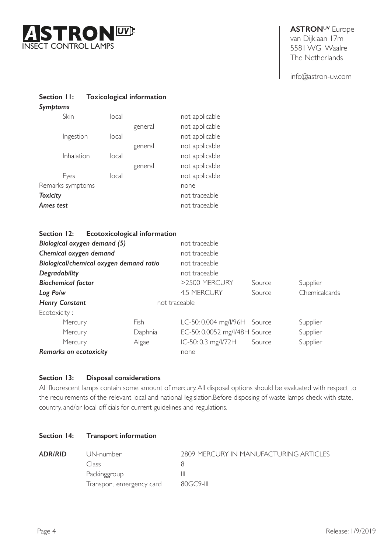

**Section 11: Toxicological information**

**ASTRONUV** Europe van Dijklaan 17m 5581 WG Waalre The Netherlands

info@astron-uv.com

| Symptoms         |       |         |                |
|------------------|-------|---------|----------------|
| Skin             | local |         | not applicable |
|                  |       | general | not applicable |
| Ingestion        | local |         | not applicable |
|                  |       | general | not applicable |
| Inhalation       | local |         | not applicable |
|                  |       | general | not applicable |
| Eyes             | local |         | not applicable |
| Remarks symptoms |       |         | none           |
| <b>Toxicity</b>  |       |         | not traceable  |
| Ames test        |       |         | not traceable  |
|                  |       |         |                |

| Section 12:                   | <b>Ecotoxicological information</b>     |               |                               |        |               |
|-------------------------------|-----------------------------------------|---------------|-------------------------------|--------|---------------|
| Biological oxygen demand (5)  |                                         |               | not traceable                 |        |               |
| Chemical oxygen demand        |                                         |               | not traceable                 |        |               |
|                               | Biological/chemical oxygen demand ratio |               | not traceable                 |        |               |
| Degradability                 |                                         |               | not traceable                 |        |               |
| <b>Biochemical factor</b>     |                                         |               | >2500 MERCURY                 | Source | Supplier      |
| Log Po/w                      |                                         |               | <b>4.5 MERCURY</b>            | Source | Chemicalcards |
| <b>Henry Constant</b>         |                                         | not traceable |                               |        |               |
| Ecotoxicity:                  |                                         |               |                               |        |               |
| Mercury                       | Fish                                    |               | LC-50: 0.004 mg/l/96H Source  |        | Supplier      |
| Mercury                       | Daphnia                                 |               | EC-50: 0.0052 mg/l/48H Source |        | Supplier      |
| Mercury                       | Algae                                   |               | IC-50: 0.3 mg/l/72H           | Source | Supplier      |
| <b>Remarks on ecotoxicity</b> |                                         |               | none                          |        |               |

# **Section 13: Disposal considerations**

All fluorescent lamps contain some amount of mercury.All disposal options should be evaluated with respect to the requirements of the relevant local and national legislation.Before disposing of waste lamps check with state, country, and/or local officials for current guidelines and regulations.

# **Section 14: Transport information**

| ADR/RID | UN-number                | 2809 MERCURY IN MANUFACTURING ARTICLES |
|---------|--------------------------|----------------------------------------|
|         | Class                    |                                        |
|         | Packinggroup             |                                        |
|         | Transport emergency card | $80GC9-III$                            |